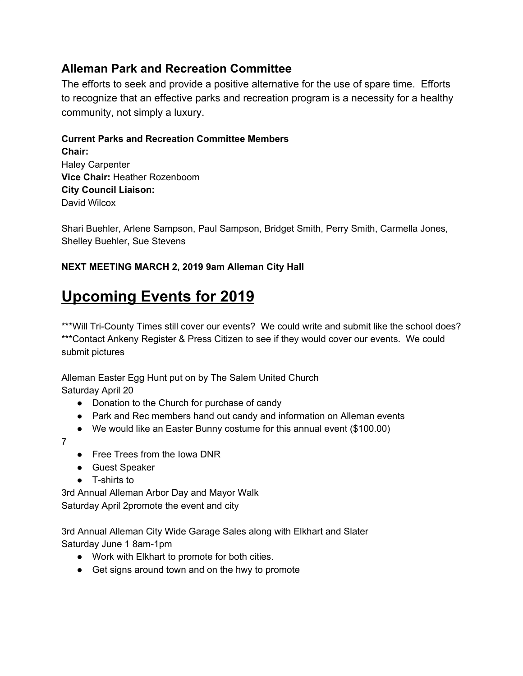## **Alleman Park and Recreation Committee**

The efforts to seek and provide a positive alternative for the use of spare time. Efforts to recognize that an effective parks and recreation program is a necessity for a healthy community, not simply a luxury.

**Current Parks and Recreation Committee Members Chair:** Haley Carpenter **Vice Chair:** Heather Rozenboom **City Council Liaison:** David Wilcox

Shari Buehler, Arlene Sampson, Paul Sampson, Bridget Smith, Perry Smith, Carmella Jones, Shelley Buehler, Sue Stevens

### **NEXT MEETING MARCH 2, 2019 9am Alleman City Hall**

# **Upcoming Events for 2019**

\*\*\*Will Tri-County Times still cover our events? We could write and submit like the school does? \*\*\*Contact Ankeny Register & Press Citizen to see if they would cover our events. We could submit pictures

Alleman Easter Egg Hunt put on by The Salem United Church Saturday April 20

- Donation to the Church for purchase of candy
- Park and Rec members hand out candy and information on Alleman events
- We would like an Easter Bunny costume for this annual event (\$100.00)

7

- Free Trees from the Iowa DNR
- Guest Speaker
- T-shirts to

3rd Annual Alleman Arbor Day and Mayor Walk Saturday April 2promote the event and city

3rd Annual Alleman City Wide Garage Sales along with Elkhart and Slater Saturday June 1 8am-1pm

- Work with Elkhart to promote for both cities.
- Get signs around town and on the hwy to promote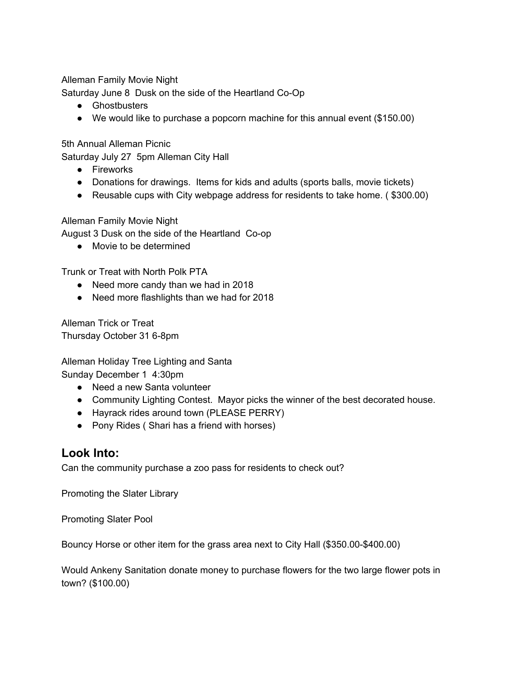Alleman Family Movie Night

Saturday June 8 Dusk on the side of the Heartland Co-Op

- Ghostbusters
- We would like to purchase a popcorn machine for this annual event (\$150.00)

5th Annual Alleman Picnic

Saturday July 27 5pm Alleman City Hall

- Fireworks
- Donations for drawings. Items for kids and adults (sports balls, movie tickets)
- Reusable cups with City webpage address for residents to take home. ( \$300.00)

Alleman Family Movie Night

August 3 Dusk on the side of the Heartland Co-op

● Movie to be determined

Trunk or Treat with North Polk PTA

- Need more candy than we had in 2018
- Need more flashlights than we had for 2018

Alleman Trick or Treat Thursday October 31 6-8pm

Alleman Holiday Tree Lighting and Santa Sunday December 1 4:30pm

- Need a new Santa volunteer
- Community Lighting Contest. Mayor picks the winner of the best decorated house.
- Hayrack rides around town (PLEASE PERRY)
- Pony Rides ( Shari has a friend with horses)

## **Look Into:**

Can the community purchase a zoo pass for residents to check out?

Promoting the Slater Library

Promoting Slater Pool

Bouncy Horse or other item for the grass area next to City Hall (\$350.00-\$400.00)

Would Ankeny Sanitation donate money to purchase flowers for the two large flower pots in town? (\$100.00)